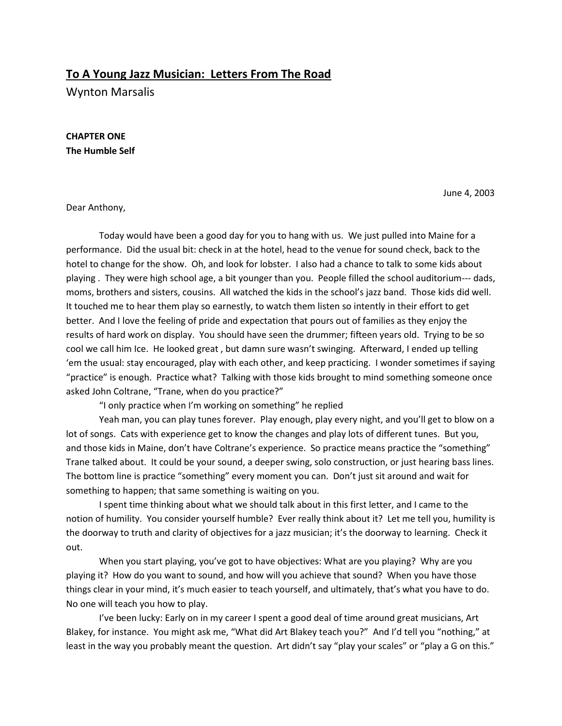## **To A Young Jazz Musician: Letters From The Road**

Wynton Marsalis

## **CHAPTER ONE The Humble Self**

June 4, 2003

Dear Anthony,

Today would have been a good day for you to hang with us. We just pulled into Maine for a performance. Did the usual bit: check in at the hotel, head to the venue for sound check, back to the hotel to change for the show. Oh, and look for lobster. I also had a chance to talk to some kids about playing . They were high school age, a bit younger than you. People filled the school auditorium--- dads, moms, brothers and sisters, cousins. All watched the kids in the school's jazz band. Those kids did well. It touched me to hear them play so earnestly, to watch them listen so intently in their effort to get better. And I love the feeling of pride and expectation that pours out of families as they enjoy the results of hard work on display. You should have seen the drummer; fifteen years old. Trying to be so cool we call him Ice. He looked great , but damn sure wasn't swinging. Afterward, I ended up telling 'em the usual: stay encouraged, play with each other, and keep practicing. I wonder sometimes if saying "practice" is enough. Practice what? Talking with those kids brought to mind something someone once asked John Coltrane, "Trane, when do you practice?"

"I only practice when I'm working on something" he replied

Yeah man, you can play tunes forever. Play enough, play every night, and you'll get to blow on a lot of songs. Cats with experience get to know the changes and play lots of different tunes. But you, and those kids in Maine, don't have Coltrane's experience. So practice means practice the "something" Trane talked about. It could be your sound, a deeper swing, solo construction, or just hearing bass lines. The bottom line is practice "something" every moment you can. Don't just sit around and wait for something to happen; that same something is waiting on you.

I spent time thinking about what we should talk about in this first letter, and I came to the notion of humility. You consider yourself humble? Ever really think about it? Let me tell you, humility is the doorway to truth and clarity of objectives for a jazz musician; it's the doorway to learning. Check it out.

When you start playing, you've got to have objectives: What are you playing? Why are you playing it? How do you want to sound, and how will you achieve that sound? When you have those things clear in your mind, it's much easier to teach yourself, and ultimately, that's what you have to do. No one will teach you how to play.

I've been lucky: Early on in my career I spent a good deal of time around great musicians, Art Blakey, for instance. You might ask me, "What did Art Blakey teach you?" And I'd tell you "nothing," at least in the way you probably meant the question. Art didn't say "play your scales" or "play a G on this."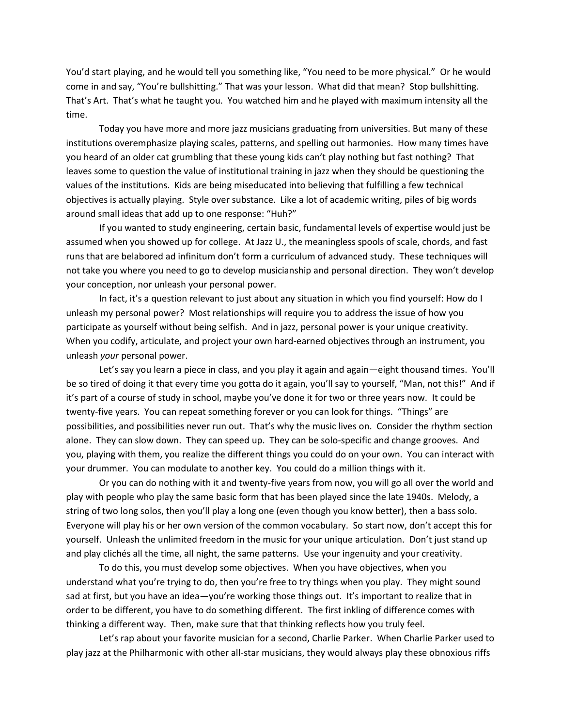You'd start playing, and he would tell you something like, "You need to be more physical." Or he would come in and say, "You're bullshitting." That was your lesson. What did that mean? Stop bullshitting. That's Art. That's what he taught you. You watched him and he played with maximum intensity all the time.

Today you have more and more jazz musicians graduating from universities. But many of these institutions overemphasize playing scales, patterns, and spelling out harmonies. How many times have you heard of an older cat grumbling that these young kids can't play nothing but fast nothing? That leaves some to question the value of institutional training in jazz when they should be questioning the values of the institutions. Kids are being miseducated into believing that fulfilling a few technical objectives is actually playing. Style over substance. Like a lot of academic writing, piles of big words around small ideas that add up to one response: "Huh?"

If you wanted to study engineering, certain basic, fundamental levels of expertise would just be assumed when you showed up for college. At Jazz U., the meaningless spools of scale, chords, and fast runs that are belabored ad infinitum don't form a curriculum of advanced study. These techniques will not take you where you need to go to develop musicianship and personal direction. They won't develop your conception, nor unleash your personal power.

In fact, it's a question relevant to just about any situation in which you find yourself: How do I unleash my personal power? Most relationships will require you to address the issue of how you participate as yourself without being selfish. And in jazz, personal power is your unique creativity. When you codify, articulate, and project your own hard-earned objectives through an instrument, you unleash *your* personal power.

Let's say you learn a piece in class, and you play it again and again—eight thousand times. You'll be so tired of doing it that every time you gotta do it again, you'll say to yourself, "Man, not this!" And if it's part of a course of study in school, maybe you've done it for two or three years now. It could be twenty-five years. You can repeat something forever or you can look for things. "Things" are possibilities, and possibilities never run out. That's why the music lives on. Consider the rhythm section alone. They can slow down. They can speed up. They can be solo-specific and change grooves. And you, playing with them, you realize the different things you could do on your own. You can interact with your drummer. You can modulate to another key. You could do a million things with it.

Or you can do nothing with it and twenty-five years from now, you will go all over the world and play with people who play the same basic form that has been played since the late 1940s. Melody, a string of two long solos, then you'll play a long one (even though you know better), then a bass solo. Everyone will play his or her own version of the common vocabulary. So start now, don't accept this for yourself. Unleash the unlimited freedom in the music for your unique articulation. Don't just stand up and play clichés all the time, all night, the same patterns. Use your ingenuity and your creativity.

To do this, you must develop some objectives. When you have objectives, when you understand what you're trying to do, then you're free to try things when you play. They might sound sad at first, but you have an idea—you're working those things out. It's important to realize that in order to be different, you have to do something different. The first inkling of difference comes with thinking a different way. Then, make sure that that thinking reflects how you truly feel.

Let's rap about your favorite musician for a second, Charlie Parker. When Charlie Parker used to play jazz at the Philharmonic with other all-star musicians, they would always play these obnoxious riffs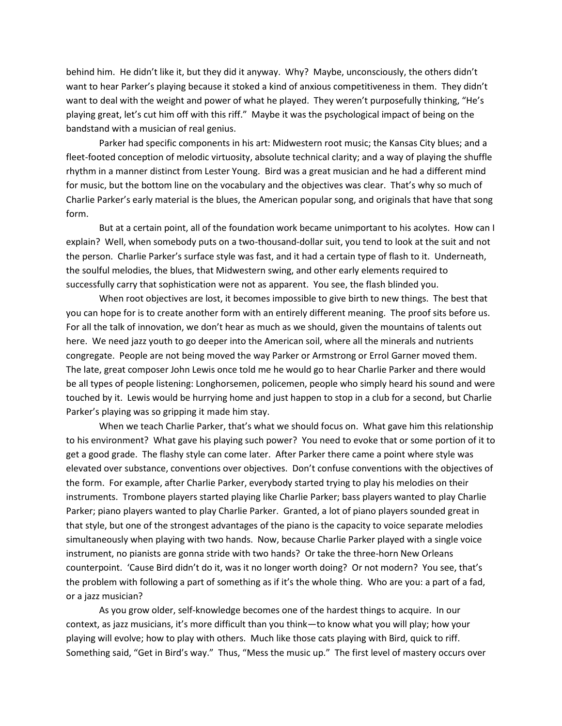behind him. He didn't like it, but they did it anyway. Why? Maybe, unconsciously, the others didn't want to hear Parker's playing because it stoked a kind of anxious competitiveness in them. They didn't want to deal with the weight and power of what he played. They weren't purposefully thinking, "He's playing great, let's cut him off with this riff." Maybe it was the psychological impact of being on the bandstand with a musician of real genius.

Parker had specific components in his art: Midwestern root music; the Kansas City blues; and a fleet-footed conception of melodic virtuosity, absolute technical clarity; and a way of playing the shuffle rhythm in a manner distinct from Lester Young. Bird was a great musician and he had a different mind for music, but the bottom line on the vocabulary and the objectives was clear. That's why so much of Charlie Parker's early material is the blues, the American popular song, and originals that have that song form.

But at a certain point, all of the foundation work became unimportant to his acolytes. How can I explain? Well, when somebody puts on a two-thousand-dollar suit, you tend to look at the suit and not the person. Charlie Parker's surface style was fast, and it had a certain type of flash to it. Underneath, the soulful melodies, the blues, that Midwestern swing, and other early elements required to successfully carry that sophistication were not as apparent. You see, the flash blinded you.

When root objectives are lost, it becomes impossible to give birth to new things. The best that you can hope for is to create another form with an entirely different meaning. The proof sits before us. For all the talk of innovation, we don't hear as much as we should, given the mountains of talents out here. We need jazz youth to go deeper into the American soil, where all the minerals and nutrients congregate. People are not being moved the way Parker or Armstrong or Errol Garner moved them. The late, great composer John Lewis once told me he would go to hear Charlie Parker and there would be all types of people listening: Longhorsemen, policemen, people who simply heard his sound and were touched by it. Lewis would be hurrying home and just happen to stop in a club for a second, but Charlie Parker's playing was so gripping it made him stay.

When we teach Charlie Parker, that's what we should focus on. What gave him this relationship to his environment? What gave his playing such power? You need to evoke that or some portion of it to get a good grade. The flashy style can come later. After Parker there came a point where style was elevated over substance, conventions over objectives. Don't confuse conventions with the objectives of the form. For example, after Charlie Parker, everybody started trying to play his melodies on their instruments. Trombone players started playing like Charlie Parker; bass players wanted to play Charlie Parker; piano players wanted to play Charlie Parker. Granted, a lot of piano players sounded great in that style, but one of the strongest advantages of the piano is the capacity to voice separate melodies simultaneously when playing with two hands. Now, because Charlie Parker played with a single voice instrument, no pianists are gonna stride with two hands? Or take the three-horn New Orleans counterpoint. 'Cause Bird didn't do it, was it no longer worth doing? Or not modern? You see, that's the problem with following a part of something as if it's the whole thing. Who are you: a part of a fad, or a jazz musician?

As you grow older, self-knowledge becomes one of the hardest things to acquire. In our context, as jazz musicians, it's more difficult than you think—to know what you will play; how your playing will evolve; how to play with others. Much like those cats playing with Bird, quick to riff. Something said, "Get in Bird's way." Thus, "Mess the music up." The first level of mastery occurs over